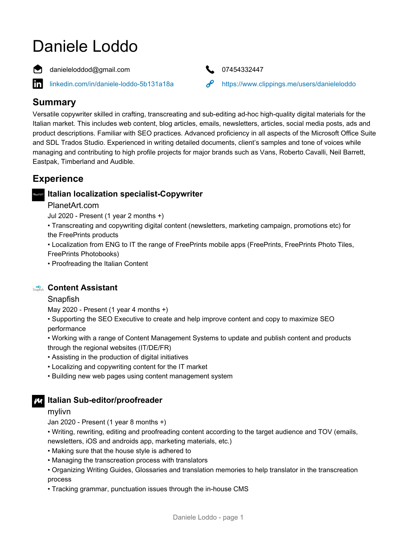# Daniele Loddo

danieleloddod@gmail.com **17454332447** 



[linkedin.com/in/daniele-loddo-5b131a18a](https://www.linkedin.com/in/daniele-loddo-5b131a18a) <https://www.clippings.me/users/danieleloddo>

## **Summary**

in.

Versatile copywriter skilled in crafting, transcreating and sub-editing ad-hoc high-quality digital materials for the Italian market. This includes web content, blog articles, emails, newsletters, articles, social media posts, ads and product descriptions. Familiar with SEO practices. Advanced proficiency in all aspects of the Microsoft Office Suite and SDL Trados Studio. Experienced in writing detailed documents, client's samples and tone of voices while managing and contributing to high profile projects for major brands such as Vans, Roberto Cavalli, Neil Barrett, Eastpak, Timberland and Audible.

## **Experience**

#### **Italian localization specialist-Copywriter**

#### PlanetArt.com

Jul 2020 - Present (1 year 2 months +)

• Transcreating and copywriting digital content (newsletters, marketing campaign, promotions etc) for the FreePrints products

• Localization from ENG to IT the range of FreePrints mobile apps (FreePrints, FreePrints Photo Tiles, FreePrints Photobooks)

• Proofreading the Italian Content

#### **Content Assistant**

#### Snapfish

May 2020 - Present (1 year 4 months +)

• Supporting the SEO Executive to create and help improve content and copy to maximize SEO performance

• Working with a range of Content Management Systems to update and publish content and products through the regional websites (IT/DE/FR)

- Assisting in the production of digital initiatives
- Localizing and copywriting content for the IT market
- Building new web pages using content management system

#### **Italian Sub-editor/proofreader**

mylivn

Jan 2020 - Present (1 year 8 months +)

• Writing, rewriting, editing and proofreading content according to the target audience and TOV (emails, newsletters, iOS and androids app, marketing materials, etc.)

- Making sure that the house style is adhered to
- Managing the transcreation process with translators
- Organizing Writing Guides, Glossaries and translation memories to help translator in the transcreation process
- Tracking grammar, punctuation issues through the in-house CMS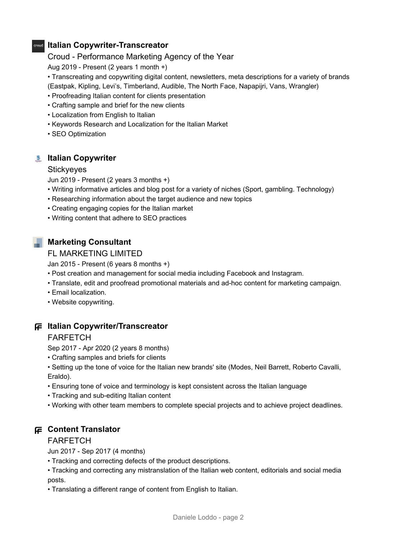#### **Italian Copywriter-Transcreator**

#### Croud - Performance Marketing Agency of the Year

Aug 2019 - Present (2 years 1 month +)

- Transcreating and copywriting digital content, newsletters, meta descriptions for a variety of brands
- (Eastpak, Kipling, Levi's, Timberland, Audible, The North Face, Napapijri, Vans, Wrangler)
- Proofreading Italian content for clients presentation
- Crafting sample and brief for the new clients
- Localization from English to Italian
- Keywords Research and Localization for the Italian Market
- SEO Optimization

## **Italian Copywriter**

#### **Stickyeyes**

Jun 2019 - Present (2 years 3 months +)

- Writing informative articles and blog post for a variety of niches (Sport, gambling. Technology)
- Researching information about the target audience and new topics
- Creating engaging copies for the Italian market
- Writing content that adhere to SEO practices

## **Marketing Consultant**

FL MARKETING LIMITED

Jan 2015 - Present (6 years 8 months +)

- Post creation and management for social media including Facebook and Instagram.
- Translate, edit and proofread promotional materials and ad-hoc content for marketing campaign.
- Email localization.
- Website copywriting.

## **Italian Copywriter/Transcreator**

#### FARFETCH

Sep 2017 - Apr 2020 (2 years 8 months)

• Crafting samples and briefs for clients

• Setting up the tone of voice for the Italian new brands' site (Modes, Neil Barrett, Roberto Cavalli, Eraldo).

- Ensuring tone of voice and terminology is kept consistent across the Italian language
- Tracking and sub-editing Italian content
- Working with other team members to complete special projects and to achieve project deadlines.

## **Content Translator**

#### FARFETCH

Jun 2017 - Sep 2017 (4 months)

• Tracking and correcting defects of the product descriptions.

• Tracking and correcting any mistranslation of the Italian web content, editorials and social media posts.

• Translating a different range of content from English to Italian.